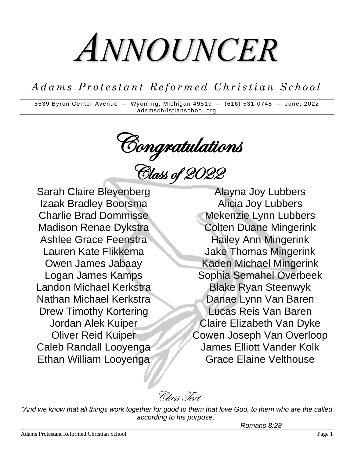# *ANNOUNCER*

*A d a m s P r o t e s t a n t R e f o r m e d C h r i s t i a n S c h o o l*

5539 Byron Center Avenue – Wyoming, Michigan 49519 – (616) 531-0748 – June, 2022 adamschristianschool.org

Congratulations

Class of 2022

Sarah Claire Bleyenberg Izaak Bradley Boorsma Charlie Brad Dommisse Madison Renae Dykstra Ashlee Grace Feenstra Lauren Kate Flikkema Owen James Jabaay Logan James Kamps Landon Michael Kerkstra Nathan Michael Kerkstra Drew Timothy Kortering Jordan Alek Kuiper Oliver Reid Kuiper Caleb Randall Looyenga Ethan William Looyenga

Alayna Joy Lubbers Alicia Joy Lubbers Mekenzie Lynn Lubbers Colten Duane Mingerink Hailey Ann Mingerink Jake Thomas Mingerink Kaden Michael Mingerink Sophia Semahel Overbeek Blake Ryan Steenwyk Danae Lynn Van Baren Lucas Reis Van Baren Claire Elizabeth Van Dyke Cowen Joseph Van Overloop James Elliott Vander Kolk Grace Elaine Velthouse

Class Text

*"And we know that all things work together for good to them that love God, to them who are the called according to his purpose."*

*Romans 8:28*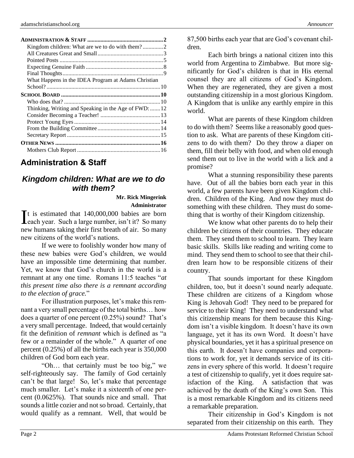| What Happens in the IDEA Program at Adams Christian  |  |
|------------------------------------------------------|--|
|                                                      |  |
|                                                      |  |
|                                                      |  |
| Thinking, Writing and Speaking in the Age of FWD: 12 |  |
|                                                      |  |
|                                                      |  |
|                                                      |  |
|                                                      |  |
|                                                      |  |
|                                                      |  |

## **Administration & Staff**

## *Kingdom children: What are we to do with them?*

**Mr. Rick Mingerink Administrator**

 $\mathbf{T}$ t is estimated that 140,000,000 babies are born It is estimated that  $140,000,000$  babies are born each year. Such a large number, isn't it? So many new humans taking their first breath of air. So many new citizens of the world's nations.

If we were to foolishly wonder how many of these new babies were God's children, we would have an impossible time determining that number. Yet, we know that God's church in the world is a remnant at any one time. Romans 11:5 teaches "*at this present time also there is a remnant according to the election of grace.*"

For illustration purposes, let's make this remnant a very small percentage of the total births… how does a quarter of one percent (0.25%) sound? That's a very small percentage. Indeed, that would certainly fit the definition of *remnant* which is defined as "a few or a remainder of the whole." A quarter of one percent (0.25%) of all the births each year is 350,000 children of God born each year.

"Oh… that certainly must be too big," we self-righteously say. The family of God certainly can't be that large! So, let's make that percentage much smaller. Let's make it a sixteenth of one percent (0.0625%). That sounds nice and small. That sounds a little cozier and not so broad. Certainly, that would qualify as a remnant. Well, that would be 87,500 births each year that are God's covenant children.

Each birth brings a national citizen into this world from Argentina to Zimbabwe. But more significantly for God's children is that in His eternal counsel they are all citizens of God's Kingdom. When they are regenerated, they are given a most outstanding citizenship in a most glorious Kingdom. A Kingdom that is unlike any earthly empire in this world.

What are parents of these Kingdom children to do with them? Seems like a reasonably good question to ask. What are parents of these Kingdom citizens to do with them? Do they throw a diaper on them, fill their belly with food, and when old enough send them out to live in the world with a lick and a promise?

What a stunning responsibility these parents have. Out of all the babies born each year in this world, a few parents have been given Kingdom children. Children of the King. And now they must do something with these children. They must do something that is worthy of their Kingdom citizenship.

We know what other parents do to help their children be citizens of their countries. They educate them. They send them to school to learn. They learn basic skills. Skills like reading and writing come to mind. They send them to school to see that their children learn how to be responsible citizens of their country.

That sounds important for these Kingdom children, too, but it doesn't sound nearly adequate. These children are citizens of a Kingdom whose King is Jehovah God! They need to be prepared for service to their King! They need to understand what this citizenship means for them because this Kingdom isn't a visible kingdom. It doesn't have its own language, yet it has its own Word. It doesn't have physical boundaries, yet it has a spiritual presence on this earth. It doesn't have companies and corporations to work for, yet it demands service of its citizens in every sphere of this world. It doesn't require a test of citizenship to qualify, yet it does require satisfaction of the King. A satisfaction that was achieved by the death of the King's own Son. This is a most remarkable Kingdom and its citizens need a remarkable preparation.

Their citizenship in God's Kingdom is not separated from their citizenship on this earth. They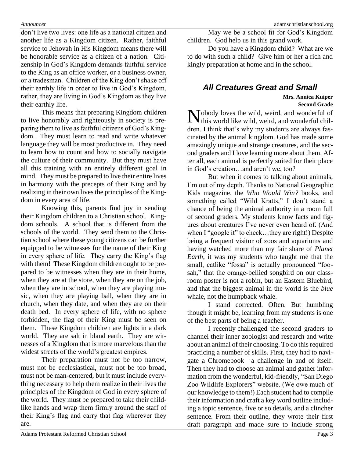don't live two lives: one life as a national citizen and another life as a Kingdom citizen. Rather, faithful service to Jehovah in His Kingdom means there will be honorable service as a citizen of a nation. Citizenship in God's Kingdom demands faithful service to the King as an office worker, or a business owner, or a tradesman. Children of the King don't shake off their earthly life in order to live in God's Kingdom, rather, they are living in God's Kingdom as they live their earthly life.

This means that preparing Kingdom children to live honorably and righteously in society is preparing them to live as faithful citizens of God's Kingdom. They must learn to read and write whatever language they will be most productive in. They need to learn how to count and how to socially navigate the culture of their community. But they must have all this training with an entirely different goal in mind. They must be prepared to live their entire lives in harmony with the precepts of their King and by realizing in their own lives the principles of the Kingdom in every area of life.

Knowing this, parents find joy in sending their Kingdom children to a Christian school. Kingdom schools. A school that is different from the schools of the world. They send them to the Christian school where these young citizens can be further equipped to be witnesses for the name of their King in every sphere of life. They carry the King's flag with them! These Kingdom children ought to be prepared to be witnesses when they are in their home, when they are at the store, when they are on the job, when they are in school, when they are playing music, when they are playing ball, when they are in church, when they date, and when they are on their death bed. In every sphere of life, with no sphere forbidden, the flag of their King must be seen on them. These Kingdom children are lights in a dark world. They are salt in bland earth. They are witnesses of a Kingdom that is more marvelous than the widest streets of the world's greatest empires.

Their preparation must not be too narrow, must not be ecclesiastical, must not be too broad, must not be man-centered, but it must include everything necessary to help them realize in their lives the principles of the Kingdom of God in every sphere of the world. They must be prepared to take their childlike hands and wrap them firmly around the staff of their King's flag and carry that flag wherever they are.

May we be a school fit for God's Kingdom children. God help us in this grand work.

Do you have a Kingdom child? What are we to do with such a child? Give him or her a rich and kingly preparation at home and in the school.

## *All Creatures Great and Small*

**Mrs. Annica Kuiper**

**Second Grade**

Nobody loves the wild, weird, and wonderful of this world like wild, weird, and wonderful chilthis world like wild, weird, and wonderful children. I think that's why my students are always fascinated by the animal kingdom. God has made some amazingly unique and strange creatures, and the second graders and I love learning more about them. After all, each animal is perfectly suited for their place in God's creation…and aren't we, too?

But when it comes to talking about animals, I'm out of my depth. Thanks to National Geographic Kids magazine, the *Who Would Win?* books, and something called "Wild Kratts," I don't stand a chance of being the animal authority in a room full of second graders. My students know facts and figures about creatures I've never even heard of. (And when I "google it" to check...they are right!) Despite being a frequent visitor of zoos and aquariums and having watched more than my fair share of *Planet Earth*, it was my students who taught me that the small, catlike "fossa" is actually pronounced "foosah," that the orange-bellied songbird on our classroom poster is not a robin, but an Eastern Bluebird, and that the biggest animal in the world is the *blue* whale, not the humpback whale.

I stand corrected. Often. But humbling though it might be, learning from my students is one of the best parts of being a teacher.

I recently challenged the second graders to channel their inner zoologist and research and write about an animal of their choosing. To do this required practicing a number of skills. First, they had to navigate a Chromebook—a challenge in and of itself. Then they had to choose an animal and gather information from the wonderful, kid-friendly, "San Diego Zoo Wildlife Explorers" website. (We owe much of our knowledge to them!) Each student had to compile their information and craft a key word outline including a topic sentence, five or so details, and a clincher sentence. From their outline, they wrote their first draft paragraph and made sure to include strong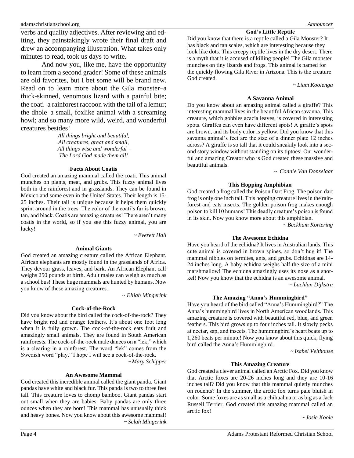verbs and quality adjectives. After reviewing and editing, they painstakingly wrote their final draft and drew an accompanying illustration. What takes only minutes to read, took us days to write.

And now you, like me, have the opportunity to learn from a second grader! Some of these animals are old favorites, but I bet some will be brand new. Read on to learn more about the Gila monster–a thick-skinned, venomous lizard with a painful bite; the coati–a rainforest raccoon with the tail of a lemur; the dhole–a small, foxlike animal with a screaming howl; and so many more wild, weird, and wonderful creatures besides!

> *All things bright and beautiful, All creatures, great and small, All things wise and wonderful– The Lord God made them all!*

#### **Facts About Coatis**

God created an amazing mammal called the coati. This animal munches on plants, meat, and grubs. This fuzzy animal lives both in the rainforest and in grasslands. They can be found in Mexico and some even in the United States. Their length is 15- 25 inches. Their tail is unique because it helps them quickly sprint around in the trees. The color of the coati's fur is brown, tan, and black. Coatis are amazing creatures! There aren't many coatis in the world, so if you see this fuzzy animal, you are lucky!

~ *Everett Hall*

#### **Animal Giants**

God created an amazing creature called the African Elephant. African elephants are mostly found in the grasslands of Africa. They devour grass, leaves, and bark. An African Elephant calf weighs 250 pounds at birth. Adult males can weigh as much as a school bus! These huge mammals are hunted by humans. Now you know of these amazing creatures.

*~ Elijah Mingerink*

#### **Cock-of-the-Rock**

Did you know about the bird called the cock-of-the-rock? They have bright red and orange feathers. It's about one foot long when it is fully grown. The cock-of-the-rock eats fruit and amazingly small animals. They are found in South American rainforests. The cock-of-the-rock male dances on a "lek," which is a clearing in a rainforest. The word "lek" comes from the Swedish word "play." I hope I will see a cock-of-the-rock.

~ *Mary Schipper*

#### **An Awesome Mammal**

God created this incredible animal called the giant panda. Giant pandas have white and black fur. This panda is two to three feet tall. This creature loves to chomp bamboo. Giant pandas start out small when they are babies. Baby pandas are only three ounces when they are born! This mammal has unusually thick and heavy bones. Now you know about this awesome mammal! ~ *Selah Mingerink*

#### **God's Little Reptile**

Did you know that there is a reptile called a Gila Monster? It has black and tan scales, which are interesting because they look like dots. This creepy reptile lives in the dry desert. There is a myth that it is accused of killing people! The Gila monster munches on tiny lizards and frogs. This animal is named for the quickly flowing Gila River in Arizona. This is the creature God created.

~ *Liam Kooienga*

#### **A Savanna Animal**

Do you know about an amazing animal called a giraffe? This interesting mammal lives in the beautiful African savanna. This creature, which gobbles acacia leaves, is covered in interesting spots. Giraffes can even have different spots! A giraffe's spots are brown, and its body color is yellow. Did you know that this savanna animal's feet are the size of a dinner plate 12 inches across? A giraffe is so tall that it could sneakily look into a second story window without standing on its tiptoes! Our wonderful and amazing Creator who is God created these massive and beautiful animals.

~ *Connie Van Donselaar*

#### **This Hopping Amphibian**

God created a frog called the Poison Dart Frog. The poison dart frog is only one inch tall. This hopping creature lives in the rainforest and eats insects. The golden poison frog makes enough poison to kill 10 humans! This deadly creature's poison is found in its skin. Now you know more about this amphibian.

~ *Beckham Kortering*

#### **The Awesome Echidna**

Have you heard of the echidna? It lives in Australian lands. This cute animal is covered in brown spines, so don't hug it! The mammal nibbles on termites, ants, and grubs. Echidnas are 14- 24 inches long. A baby echidna weighs half the size of a mini marshmallow! The echidna amazingly uses its nose as a snorkel! Now you know that the echidna is an awesome animal.

~ *Lachlan Dijkstra*

#### **The Amazing "Anna's Hummingbird"**

Have you heard of the bird called "Anna's Hummingbird?" The Anna's hummingbird lives in North American woodlands. This amazing creature is covered with beautiful red, blue, and green feathers. This bird grows up to four inches tall. It slowly pecks at nectar, sap, and insects. The hummingbird's heart beats up to 1,260 beats per minute! Now you know about this quick, flying bird called the Anna's Hummingbird.

~ *Isabel Velthouse*

#### **This Amazing Creature**

God created a clever animal called an Arctic Fox. Did you know that Arctic foxes are 20-26 inches long and they are 10-16 inches tall? Did you know that this mammal quietly munches on rodents? In the summer, the arctic fox turns pale bluish in color. Some foxes are as small as a chihuahua or as big as a Jack Russell Terrier. God created this amazing mammal called an arctic fox!

~ *Josie Koole*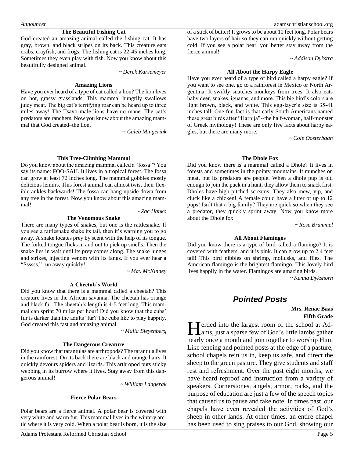#### **The Beautiful Fishing Cat**

God created an amazing animal called the fishing cat. It has gray, brown, and black stripes on its back. This creature eats crabs, crayfish, and frogs. The fishing cat is 22-45 inches long. Sometimes they even play with fish. Now you know about this beautifully designed animal.

~ *Derek Karsemeyer*

#### **Amazing Lions**

Have you ever heard of a type of cat called a lion? The lion lives on hot, grassy grasslands. This mammal hungrily swallows juicy meat. The big cat's terrifying roar can be heard up to three miles away! The Tsavo male lions have no mane. The cat's predators are ranchers. Now you know about the amazing mammal that God created–the lion.

~ *Caleb Mingerink*

#### **This Tree-Climbing Mammal**

Do you know about the amazing mammal called a "fossa"? You say its name: FOO-SAH. It lives in a tropical forest. The fossa can grow at least 72 inches long. The mammal gobbles mostly delicious lemurs. This forest animal can almost twist their flexible ankles backwards! The fossa can hang upside down from any tree in the forest. Now you know about this amazing mammal!

#### **The Venomous Snake**

There are many types of snakes, but one is the rattlesnake. If you see a rattlesnake shake its tail, then it's warning you to go away. A snake locates prey by scent with the help of its tongue. The forked tongue flicks in and out to pick up smells. Then the snake lies in wait until its prey comes along. The snake lunges and strikes, injecting venom with its fangs. If you ever hear a "Ssssss," run away quickly!

~ *Max McKinney*

~ *Zac Hanko*

#### **A Cheetah's World**

Did you know that there is a mammal called a cheetah? This creature lives in the African savanna. The cheetah has orange and black fur. The cheetah's length is 4-5 feet long. This mammal can sprint 70 miles per hour! Did you know that the cubs' fur is darker than the adults' fur? The cubs like to play happily. God created this fast and amazing animal.

~ *Malia Bleyenberg*

#### **The Dangerous Creature**

Did you know that tarantulas are arthropods? The tarantula lives in the rainforest. On its back there are black and orange hairs. It quickly devours spiders and lizards. This arthropod puts sticky webbing in its burrow where it lives. Stay away from this dangerous animal!

~ *William Langerak*

#### **Fierce Polar Bears**

Polar bears are a fierce animal. A polar bear is covered with very white and warm fur. This mammal lives in the wintery arctic where it is very cold. When a polar bear is born, it is the size

of a stick of butter! It grows to be about 10 feet long. Polar bears have two layers of hair so they can run quickly without getting cold. If you see a polar bear, you better stay away from the fierce animal!

~ *Addison Dykstra*

#### **All About the Harpy Eagle**

Have you ever heard of a type of bird called a harpy eagle? If you want to see one, go to a rainforest in Mexico or North Argentina. It swiftly snatches monkeys from trees. It also eats baby deer, snakes, iguanas, and more. This big bird's colors are light brown, black, and white. This egg-layer's size is 35-41 inches tall. One fun fact is that early South Americans named these great birds after "Harpija"--the half-woman, half-monster of Greek mythology! These are only five facts about harpy eagles, but there are many more.

~ *Cole Oosterbaan*

#### **The Dhole Fox**

Did you know there is a mammal called a Dhole? It lives in forests and sometimes in the pointy mountains. It munches on meat, but its predators are people. When a dhole pup is old enough to join the pack in a hunt, they allow them to snack first. Dholes have high-pitched screams. They also mew, yip, and cluck like a chicken! A female could have a litter of up to 12 pups! Isn't that a big family? They are quick so when they see a predator, they quickly sprint away. Now you know more about the Dhole fox.

~ *Rose Brummel*

#### **All About Flamingos**

Did you know there is a type of bird called a flamingo? It is covered with feathers, and it is pink. It can grow up to 2.4 feet tall! This bird nibbles on shrimp, mollusks, and flies. The American flamingo is the brightest flamingo. This lovely bird lives happily in the water. Flamingos are amazing birds.

~ *Kenna Dykshorn*

## *Pointed Posts*

#### **Mrs. Renae Baas Fifth Grade**

erded into the largest room of the school at Ad-Interded into the largest room of the school at Adams, just a sparse few of God's little lambs gather nearly once a month and join together to worship Him. Like fencing and pointed posts at the edge of a pasture, school chapels rein us in, keep us safe, and direct the sheep to the green pasture. They give students and staff rest and refreshment. Over the past eight months, we have heard reproof and instruction from a variety of speakers. Cornerstones, angels, armor, rocks, and the purpose of education are just a few of the speech topics that caused us to pause and take note. In times past, our chapels have even revealed the activities of God's sheep in other lands. At other times, an entire chapel has been used to sing praises to our God, showing our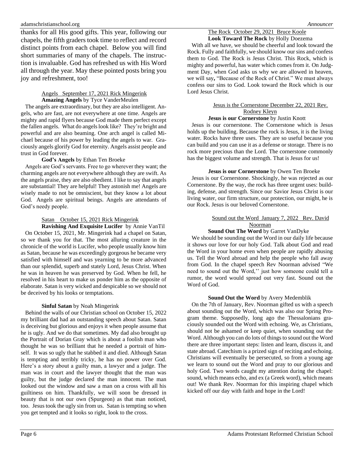thanks for all His good gifts. This year, following our chapels, the fifth graders took time to reflect and record distinct points from each chapel. Below you will find short summaries of many of the chapels. The instruction is invaluable. God has refreshed us with His Word all through the year. May these pointed posts bring you joy and refreshment, too!

#### Angels September 17, 2021 Rick Mingerink **Amazing Angels** by Tyce VanderMeulen

 The angels are extraordinary, but they are also intelligent. Angels, who are fast, are not everywhere at one time. Angels are mighty and rapid flyers because God made them perfect except the fallen angels. What do angels look like? They're bright and powerful and are also beaming. One arch angel is called Michael because of his power by leading the angels to war. Graciously angels glorify God for eternity. Angels assist people and trust in God forever.

#### **God's Angels** by Ethan Ten Broeke

 Angels are God's servants. Free to go wherever they want; the charming angels are not everywhere although they are swift. As the angels praise, they are also obedient. I like to say that angels are substantial! They are helpful! They astonish me! Angels are wisely made to not be omniscient, but they know a lot about God. Angels are spiritual beings. Angels are attendants of God's needy people.

#### Satan October 15, 2021 Rick Mingerink

**Ravishing And Exquisite Lucifer** by Annie VanTil On October 15, 2021, Mr. Mingerink had a chapel on Satan, so we thank you for that. The most alluring creature in the chronicle of the world is Lucifer, who people usually know him as Satan, because he was exceedingly gorgeous he became very satisfied with himself and was yearning to be more advanced than our splendid, superb and stately Lord, Jesus Christ. When he was in heaven he was preserved by God. When he fell, he resolved in his heart to make us ponder him as the opposite of elaborate. Satan is very wicked and despicable so we should not be deceived by his looks or temptations.

#### **Sinful Satan** by Noah Mingerink

 Behind the walls of our Christian school on October 15, 2022 my brilliant dad had an outstanding speech about Satan. Satan is deceiving but glorious and enjoys it when people assume that he is ugly. And we do that sometimes. My dad also brought up the Portrait of Dorian Gray which is about a foolish man who thought he was so brilliant that he needed a portrait of himself. It was so ugly that he stabbed it and died. Although Satan is tempting and terribly tricky, he has no power over God. Here's a story about a guilty man, a lawyer and a judge. The man was in court and the lawyer thought that the man was guilty, but the judge declared the man innocent. The man looked out the window and saw a man on a cross with all his guiltiness on him. Thankfully, we will soon be dressed in beauty that is not our own (Spurgeon) as that man noticed, too. Jesus took the ugly sin from us. Satan is tempting so when you get tempted and it looks so right, look to the cross.

#### The Rock October 29, 2021 Bruce Koole

**Look Toward The Rock** by Holly Doezema With all we have, we should be cheerful and look toward the Rock. Fully and faithfully, we should know our sins and confess them to God. The Rock is Jesus Christ. This Rock, which is mighty and powerful, has water which comes from it. On Judgment Day, when God asks us why we are allowed in heaven, we will say**,** "Because of the Rock of Christ." We must always confess our sins to God. Look toward the Rock which is our Lord Jesus Christ.

#### Jesus is the Cornerstone December 22, 2021 Rev. Rodney Kleyn

#### **Jesus is our Cornerstone** by Justin Knott

 Jesus is our cornerstone. The Cornerstone which is Jesus holds up the building. Because the rock is Jesus, it is the living water. Rocks have three uses. They are so useful because you can build and you can use it as a defense or storage. There is no rock more precious than the Lord. The cornerstone commonly has the biggest volume and strength. That is Jesus for us!

#### **Jesus is our Cornerstone** by Owen Ten Broeke

 Jesus is our Cornerstone. Shockingly, he was rejected as our Cornerstone. By the way, the rock has three urgent uses: building, defense, and strength. Since our Savior Jesus Christ is our living water, our firm structure, our protection, our might, he is our Rock. Jesus is our beloved Cornerstone.

#### Sound out the Word January 7, 2022 Rev. David Noorman

#### **Sound Out The Word** by Garret VanDyke

 We should be sounding out the Word in our daily life because it shows our love for our holy God. Talk about God and read the Word in your home even when people are rapidly abusing us. Tell the Word abroad and help the people who fall away from God. In the chapel speech Rev Noorman advised "We need to sound out the Word,'' just how someone could tell a rumor, the word would spread out very fast. Sound out the Word of God.

#### **Sound Out the Word** by Avery Medemblik

 On the 7th of January, Rev. Noorman gifted us with a speech about sounding out the Word, which was also our Spring Program theme. Supposedly, long ago the Thessalonians graciously sounded out the Word with echoing. We, as Christians, should not be ashamed or keep quiet, when sounding out the Word. Although you can do lots of things to sound out the Word there are three important steps: listen and learn, discuss it, and state abroad. Catechism is a prized sign of reciting and echoing. Christians will eventually be persecuted, so from a young age we learn to sound out the Word and pray to our glorious and holy God. Two words caught my attention during the chapel: sound, which means echo, and ex (a Greek word), which means out! We thank Rev. Noorman for this inspiring chapel which kicked off our day with faith and hope in the Lord!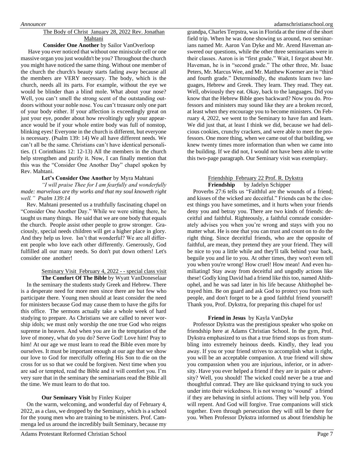#### The Body of Christ January 28, 2022 Rev. Jonathan Mahtani

#### **Consider One Another** by Sailor VanOverloop

 Have you ever noticed that without one miniscule cell or one massive organ you just wouldn't be you? Throughout the church you might have noticed the same thing. Without one member of the church the church's beauty starts fading away because all the members are VERY necessary. The body, which is the church, needs all its parts. For example, without the eye we would be blinder than a blind mole. What about your nose? Well, you can't smell the strong scent of the outstanding outdoors without your noble nose. You can't treasure only one part of your body either. If your affection is exceedingly great on just your eye, ponder about how revoltingly ugly your appearance would be if your whole entire body was full of nonstop, blinking eyes! Everyone in the church is different, but everyone is necessary. (Psalm 139: 14) We all have different needs. We can't all be the same. Christians can't have identical personalities. (1 Corinthians 12: 12-13) All the members in the church help strengthen and purify it. Now, I can finally mention that this was the "Consider One Another Day" chapel spoken by Rev. Mahtani.

#### **Let's Consider One Another** by Myra Mahtani

*"I will praise Thee for I am fearfully and wonderfully made: marvelous are thy works and that my soul knoweth right well." Psalm 139:14*

 Rev. Mahtani presented us a truthfully fascinating chapel on "Consider One Another Day." While we were sitting there, he taught us many things. He said that we are one body that equals the church. People assist other people to grow stronger. Graciously, special needs children will get a higher place in glory. And they help us love. Isn't that wonderful? We are all different people who love each other differently. Generously, God fulfilled all our many needs. So don't put down others! Let's consider one another!

#### Seminary Visit February 4, 2022 - - special class visit **The Comfort Of The Bible** by Wyatt VanDoneselaar

 In the seminary the students study Greek and Hebrew. There is a desperate need for more men since there are but few who participate there. Young men should at least consider the need for ministers because God may cause them to have the gifts for this office. The sermons actually take a whole week of hard studying to prepare. As Christians we are called to never worship idols; we must only worship the one true God who reigns supreme in heaven. And when you are in the temptation of the love of money, what do you do? Serve God! Love him! Pray to him! At our age we must learn to read the Bible even more by ourselves. It must be important enough at our age that we show our love to God for mercifully offering His Son to die on the cross for us so that we could be forgiven. Next time when you are sad or tempted, read the Bible and it will comfort you. I'm very sure that in the seminary the seminarians read the Bible all the time. We must learn to do that too.

#### **Our Seminary Visit** by Finley Kuiper

 On the warm, welcoming, and wonderful day of February 4, 2022, as a class, we dropped by the Seminary, which is a school for the young men who are training to be ministers. Prof. Cammenga led us around the incredibly built Seminary, because my

grandpa, Charles Terpstra, was in Florida at the time of the short field trip. When he was done showing us around, two seminarians named Mr. Aaron Van Dyke and Mr. Arend Haveman answered our questions, while the other three seminarians were in their classes. Aaron is in "first grade." Wait, I forgot about Mr. Haveman, he is in "second grade." The other three, Mr. Isaac Peters, Mr. Marcus Wee, and Mr. Matthew Koerner are in "third and fourth grade." Determinedly, the students learn two languages, Hebrew and Greek. They learn. They read. They eat. Well, obviously they eat. Okay, back to the languages. Did you know that the Hebrew Bible goes backward? Now you do. Professors and ministers may sound like they are a broken record, at least when they encourage you to become ministers. On February 4, 2022, we went to the Seminary to have fun and learn. We did just that, at least I think we did, because we had delicious cookies, crunchy crackers, and were able to meet the professors. One more thing, when we came out of that building, we knew twenty times more information than when we came into the building. If we did not, I would not have been able to write this two-page paragraph. Our Seminary visit was exemplary.

#### Friendship February 22 Prof. R. Dykstra **Friendship** by Jadelyn Schipper

 Proverbs 27:6 tells us "Faithful are the wounds of a friend; and kisses of the wicked are deceitful." Friends can be the closest things you have sometimes, and it hurts when your friends deny you and betray you. There are two kinds of friends: deceitful and faithful. Righteously, a faithful comrade considerately advises you when you're wrong and stays with you no matter what. He is one that you can trust and count on to do the right thing. Since deceitful friends, who are the opposite of faithful, are mean, they pretend they are your friend. They will be nice to you a little while and they'll talk behind your back, beguile you and lie to you. At other times, they won't even tell you when you're wrong! How cruel! How mean! And even humiliating**!** Stay away from deceitful and ungodly actions like these! Godly king David had a friend like this too, named Ahithophel, and he was sad later in his life because Ahithophel betrayed him. Be on guard and ask God to protect you from such people, and don't forget to be a good faithful friend yourself! Thank you, Prof. Dykstra, for preparing this chapel for us!

#### **Friend in Jesus** by Kayla VanDyke

 Professor Dykstra was the prestigious speaker who spoke on friendship here at Adams Christian School. In the gym, Prof. Dykstra emphasized to us that a true friend stops us from stumbling into extremely heinous deeds. Kindly, they lead you away. If you or your friend strives to accomplish what is right, you will be an acceptable companion. A true friend will show you compassion when you are injurious, inferior, or in adversity. Have you ever helped a friend if they are in pain or adversity? Well, you should! The wicked could never be a true and thoughtful comrad. They are like quicksand trying to suck you under into their wickedness. It is not wrong to 'wound' a friend if they are behaving in sinful actions. They will help you. You will repent. And God will forgive. True companions will stick together. Even through persecution they will still be there for you. When Professor Dykstra informed us about friendship he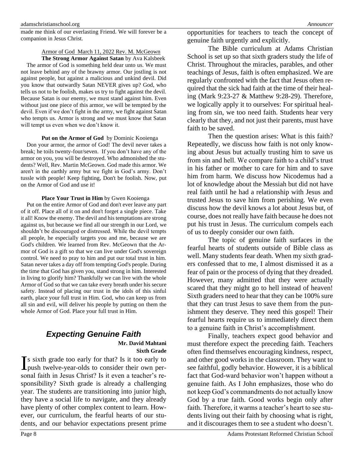made me think of our everlasting Friend. We will forever be a companion in Jesus Christ.

#### Armor of God March 11, 2022 Rev. M. McGeown

**The Strong Armor Against Satan** by Ava Kalsbeek The armor of God is something held dear unto us. We must not leave behind any of the brawny armor. Our jostling is not against people, but against a malicious and unkind devil. Did you know that outwardly Satan NEVER gives up? God, who tells us not to be foolish, makes us try to fight against the devil. Because Satan is our enemy, we must stand against him. Even without just one piece of this armor, we will be tempted by the devil. Even if we don't fight in the army, we fight against Satan who tempts us. Armor is strong and we must know that Satan will tempt us even when we don't know it.

#### **Put on the Armor of God** by Dominic Kooienga

 Don your armor, the armor of God! The devil never takes a break; he toils twenty-four/seven. If you don't have any of the armor on you, you will be destroyed. Who admonished the students? Well, Rev. Martin McGeown. God made this armor. We aren't in the earthly army but we fight in God's army. Don't tussle with people! Keep fighting, Don't be foolish. Now, put on the Armor of God and use it!

#### **Place Your Trust in Him** by Gwen Kooienga

 Put on the entire Armor of God and don't ever leave any part of it off. Place all of it on and don't forget a single piece. Take it all! Know the enemy. The devil and his temptations are strong against us, but because we find all our strength in our Lord, we shouldn't be discouraged or distressed. While the devil tempts all people, he especially targets you and me, because we are God's children. We learned from Rev. McGeown that the Armor of God is a gift so that we can live under God's sovereign control. We need to pray to him and put our total trust in him. Satan never takes a day off from tempting God's people. During the time that God has given you, stand strong in him. Interested in living to glorify him? Thankfully we can live with the whole Armor of God so that we can take every breath under his secure safety. Instead of placing our trust in the idols of this sinful earth, place your full trust in Him. God, who can keep us from all sin and evil, will deliver his people by putting on them the whole Armor of God. Place your full trust in Him.

## *Expecting Genuine Faith* **Mr. David Mahtani**

## **Sixth Grade**

s sixth grade too early for that? Is it too early to Is sixth grade too early for that? Is it too early to push twelve-year-olds to consider their own personal faith in Jesus Christ? Is it even a teacher's responsibility? Sixth grade is already a challenging year. The students are transitioning into junior high, they have a social life to navigate, and they already have plenty of other complex content to learn. However, our curriculum, the fearful hearts of our students, and our behavior expectations present prime

The Bible curriculum at Adams Christian School is set up so that sixth graders study the life of Christ. Throughout the miracles, parables, and other teachings of Jesus, faith is often emphasized. We are regularly confronted with the fact that Jesus often required that the sick had faith at the time of their healing (Mark 9:23-27 & Matthew 9:28-29). Therefore, we logically apply it to ourselves: For spiritual healing from sin, we too need faith. Students hear very clearly that they, and not just their parents, must have faith to be saved.

Then the question arises: What is this faith? Repeatedly, we discuss how faith is not only knowing about Jesus but actually trusting him to save us from sin and hell. We compare faith to a child's trust in his father or mother to care for him and to save him from harm. We discuss how Nicodemus had a lot of knowledge about the Messiah but did not have real faith until he had a relationship with Jesus and trusted Jesus to save him from perishing. We even discuss how the devil knows a lot about Jesus but, of course, does not really have faith because he does not put his trust in Jesus. The curriculum compels each of us to deeply consider our own faith.

The topic of genuine faith surfaces in the fearful hearts of students outside of Bible class as well. Many students fear death. When my sixth graders confessed that to me, I almost dismissed it as a fear of pain or the process of dying that they dreaded. However, many admitted that they were actually scared that they might go to hell instead of heaven! Sixth graders need to hear that they can be 100% sure that they can trust Jesus to save them from the punishment they deserve. They need this gospel! Their fearful hearts require us to immediately direct them to a genuine faith in Christ's accomplishment.

Finally, teachers expect good behavior and must therefore expect the preceding faith. Teachers often find themselves encouraging kindness, respect, and other good works in the classroom. They want to see faithful, godly behavior. However, it is a biblical fact that God-ward behavior won't happen without a genuine faith. As I John emphasizes, those who do not keep God's commandments do not actually know God by a true faith. Good works begin only after faith. Therefore, it warms a teacher's heart to see students living out their faith by choosing what is right, and it discourages them to see a student who doesn't.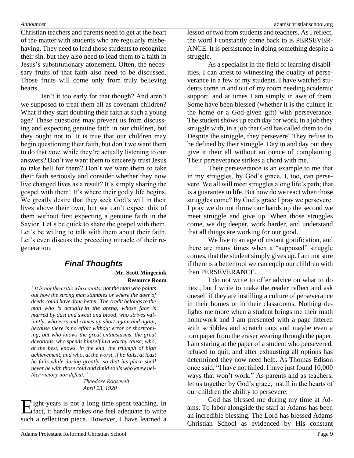Christian teachers and parents need to get at the heart of the matter with students who are regularly misbehaving. They need to lead those students to recognize their sin, but they also need to lead them to a faith in Jesus's substitutionary atonement. Often, the necessary fruits of that faith also need to be discussed. Those fruits will come only from truly believing hearts.

Isn't it too early for that though? And aren't we supposed to treat them all as covenant children? What if they start doubting their faith at such a young age? These questions may prevent us from discussing and expecting genuine faith in our children, but they ought not to. It is true that our children may begin questioning their faith, but don't we want them to do that *now*, while they're actually listening to our answers? Don't we want them to sincerely trust Jesus to take hell for them? Don't we want them to take their faith seriously and consider whether they now live changed lives as a result? It's simply sharing the gospel with them! It's where their godly life begins. We greatly desire that they seek God's will in their lives above their own, but we can't expect this of them without first expecting a genuine faith in the Savior. Let's be quick to share the gospel with them. Let's be willing to talk with them about their faith. Let's even discuss the preceding miracle of their regeneration.

## *Final Thoughts* **Mr. Scott Mingerink Resource Room**

*"It is not the critic who counts: not the man who points out how the strong man stumbles or where the doer of deeds could have done better. The credit belongs to the man who is actually in the arena, whose face is marred by dust and sweat and blood, who strives valiantly, who errs and comes up short again and again, because there is no effort without error or shortcoming, but who knows the great enthusiasms, the great devotions, who spends himself in a worthy cause; who, at the best, knows, in the end, the triumph of high achievement, and who, at the worst, if he fails, at least he fails while daring greatly, so that his place shall never be with those cold and timid souls who knew neither victory nor defeat."* 

*Theodore Roosevelt April 23, 1920* 

ight-years is not a long time spent teaching. In Eight-years is not a long time spent teaching. In fact, it hardly makes one feel adequate to write such a reflection piece. However, I have learned a

lesson or two from students and teachers. As I reflect, the word I constantly come back to is PERSEVER-ANCE. It is persistence in doing something despite a struggle.

As a specialist in the field of learning disabilities, I can attest to witnessing the quality of perseverance in a few of my students. I have watched students come in and out of my room needing academic support, and at times I am simply in awe of them. Some have been blessed (whether it is the culture in the home or a God-given gift) with perseverance. The student shows up each day for work, in a job they struggle with, in a job that God has called them to do. Despite the struggle, they persevere! They refuse to be defined by their struggle. Day in and day out they give it their all without an ounce of complaining. Their perseverance strikes a chord with me.

Their perseverance is an example to me that in my struggles, by God's grace, I, too, can persevere. We all will meet struggles along life's path; that is a guarantee in life. But how do we react when those struggles come? By God's grace I pray we persevere. I pray we do not throw our hands up the second we meet struggle and give up. When those struggles come, we dig deeper, work harder, and understand that all things are working for our good.

We live in an age of instant gratification, and there are many times when a "supposed" struggle comes, that the student simply gives up. I am not sure if there is a better tool we can equip our children with than PERSEVERANCE.

I do not write to offer advice on what to do next, but I write to make the reader reflect and ask oneself if they are instilling a culture of perseverance in their homes or in their classrooms. Nothing delights me more when a student brings me their math homework and I am presented with a page littered with scribbles and scratch outs and maybe even a torn paper from the eraser wearing through the paper. I am staring at the paper of a student who persevered, refused to quit, and after exhausting all options has determined they now need help. As Thomas Edison once said, "I have not failed. I have just found 10,000 ways that won't work." As parents and as teachers, let us together by God's grace, instill in the hearts of our children the ability to persevere.

God has blessed me during my time at Adams. To labor alongside the staff at Adams has been an incredible blessing. The Lord has blessed Adams Christian School as evidenced by His constant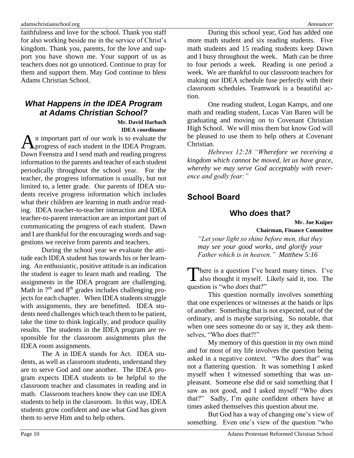faithfulness and love for the school. Thank you staff for also working beside me in the service of Christ's kingdom. Thank you, parents, for the love and support you have shown me. Your support of us as teachers does not go unnoticed. Continue to pray for them and support them. May God continue to bless Adams Christian School.

## *What Happens in the IDEA Program at Adams Christian School?*

**Mr. David Harbach IDEA coordinator**

n important part of our work is to evaluate the An important part of our work is to evaluate the progress of each student in the IDEA Program. Dawn Feenstra and I send math and reading progress information to the parents and teacher of each student periodically throughout the school year. For the teacher, the progress information is usually, but not limited to, a letter grade. Our parents of IDEA students receive progress information which includes what their children are learning in math and/or reading. IDEA teacher-to-teacher interaction and IDEA teacher-to-parent interaction are an important part of communicating the progress of each student. Dawn and I are thankful for the encouraging words and suggestions we receive from parents and teachers.

During the school year we evaluate the attitude each IDEA student has towards his or her learning. An enthusiastic, positive attitude is an indication the student is eager to learn math and reading. The assignments in the IDEA program are challenging. Math in  $7<sup>th</sup>$  and  $8<sup>th</sup>$  grades includes challenging projects for each chapter. When IDEA students struggle with assignments, they are benefitted. IDEA students need challenges which teach them to be patient, take the time to think logically, and produce quality results. The students in the IDEA program are responsible for the classroom assignments plus the IDEA room assignments.

The A in IDEA stands for Act. IDEA students, as well as classroom students, understand they are to serve God and one another. The IDEA program expects IDEA students to be helpful to the classroom teacher and classmates in reading and in math. Classroom teachers know they can use IDEA students to help in the classroom. In this way, IDEA students grow confident and use what God has given them to serve Him and to help others.

During this school year, God has added one more math student and six reading students. Five math students and 15 reading students keep Dawn and I busy throughout the week. Math can be three to four periods a week. Reading is one period a week. We are thankful to our classroom teachers for making our IDEA schedule fuse perfectly with their classroom schedules. Teamwork is a beautiful action.

One reading student, Logan Kamps, and one math and reading student, Lucas Van Baren will be graduating and moving on to Covenant Christian High School. We will miss them but know God will be pleased to use them to help others at Covenant Christian.

*Hebrews 12:28 "Wherefore we receiving a kingdom which cannot be moved, let us have grace, whereby we may serve God acceptably with reverence and godly fear:"*

## **School Board**

## **Who** *does* **that***?*

**Mr. Joe Kuiper Chairman, Finance Committee**

*"Let your light so shine before men, that they may see your good works, and glorify your Father which is in heaven." Matthew 5:16*

There is a question I've heard many times. I've There is a question I've heard many times. I've also thought it myself. Likely said it, too. The question is "who *does* that?"

This question normally involves something that one experiences or witnesses at the hands or lips of another. Something that is not expected, out of the ordinary, and is maybe surprising. So notable, that when one sees someone do or say it, they ask themselves, "Who *does* that?!"

My memory of this question in my own mind and for most of my life involves the question being asked in a negative context. "Who *does* that" was not a flattering question. It was something I asked myself when I witnessed something that was unpleasant. Someone else did or said something that I saw as not good, and I asked myself "Who *does* that?" Sadly, I'm quite confident others have at times asked themselves this question about me.

But God has a way of changing one's view of something. Even one's view of the question "who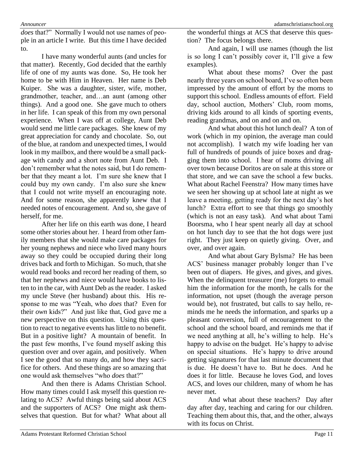*does* that?" Normally I would not use names of people in an article I write. But this time I have decided to.

I have many wonderful aunts (and uncles for that matter). Recently, God decided that the earthly life of one of my aunts was done. So, He took her home to be with Him in Heaven. Her name is Deb Kuiper. She was a daughter, sister, wife, mother, grandmother, teacher, and…an aunt (among other things). And a good one. She gave much to others in her life. I can speak of this from my own personal experience. When I was off at college, Aunt Deb would send me little care packages. She knew of my great appreciation for candy and chocolate. So, out of the blue, at random and unexpected times, I would look in my mailbox, and there would be a small package with candy and a short note from Aunt Deb. I don't remember what the notes said, but I do remember that they meant a lot. I'm sure she knew that I could buy my own candy. I'm also sure she knew that I could not write myself an encouraging note. And for some reason, she apparently knew that I needed notes of encouragement. And so, she gave of herself, for me.

After her life on this earth was done, I heard some other stories about her. I heard from other family members that she would make care packages for her young nephews and niece who lived many hours away so they could be occupied during their long drives back and forth to Michigan. So much, that she would read books and record her reading of them, so that her nephews and niece would have books to listen to in the car, with Aunt Deb as the reader. I asked my uncle Steve (her husband) about this. His response to me was "Yeah, who *does* that? Even for their *own* kids?" And just like that, God gave me a new perspective on this question. Using this question to react to negative events has little to no benefit. But in a positive light? A mountain of benefit. In the past few months, I've found myself asking this question over and over again, and positively. When I see the good that so many do, and how they sacrifice for others. And these things are so amazing that one would ask themselves "who *does* that?"

And then there is Adams Christian School. How many times could I ask myself this question relating to ACS? Awful things being said about ACS and the supporters of ACS? One might ask themselves that question. But for what? What about all the wonderful things at ACS that deserve this question? The focus belongs there.

And again, I will use names (though the list is so long I can't possibly cover it, I'll give a few examples).

What about these moms? Over the past nearly three years on school board, I've so often been impressed by the amount of effort by the moms to support this school. Endless amounts of effort. Field day, school auction, Mothers' Club, room moms, driving kids around to all kinds of sporting events, reading grandmas, and on and on and on.

And what about this hot lunch deal? A ton of work (which in my opinion, the average man could not accomplish). I watch my wife loading her van full of hundreds of pounds of juice boxes and dragging them into school. I hear of moms driving all over town because Doritos are on sale at this store or that store, and we can save the school a few bucks. What about Rachel Feenstra? How many times have we seen her showing up at school late at night as we leave a meeting, getting ready for the next day's hot lunch? Extra effort to see that things go smoothly (which is not an easy task). And what about Tami Boorsma, who I hear spent nearly all day at school on hot lunch day to see that the hot dogs were just right. They just keep on quietly giving. Over, and over, and over again.

And what about Gary Bylsma? He has been ACS' business manager probably longer than I've been out of diapers. He gives, and gives, and gives. When the delinquent treasurer (me) forgets to email him the information for the month, he calls for the information, not upset (though the average person would be), not frustrated, but calls to say hello, reminds me he needs the information, and sparks up a pleasant conversion, full of encouragement to the school and the school board, and reminds me that if we need anything at all, he's willing to help. He's happy to advise on the budget. He's happy to advise on special situations. He's happy to drive around getting signatures for that last minute document that is due. He doesn't have to. But he does. And he does it for little. Because he loves God, and loves ACS, and loves our children, many of whom he has never met.

And what about these teachers? Day after day after day, teaching and caring for our children. Teaching them about this, that, and the other, always with its focus on Christ.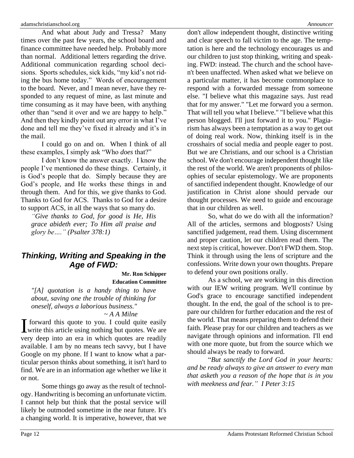And what about Judy and Tressa? Many times over the past few years, the school board and finance committee have needed help. Probably more than normal. Additional letters regarding the drive. Additional communication regarding school decisions. Sports schedules, sick kids, "my kid's not riding the bus home today." Words of encouragement to the board. Never, and I mean never, have they responded to any request of mine, as last minute and time consuming as it may have been, with anything other than "send it over and we are happy to help." And then they kindly point out any error in what I've done and tell me they've fixed it already and it's in the mail.

I could go on and on. When I think of all these examples, I simply ask "Who *does* that?"

I don't know the answer exactly. I know the people I've mentioned do these things. Certainly, it is God's people that do. Simply because they are God's people, and He works these things in and through them. And for this, we give thanks to God. Thanks to God for ACS. Thanks to God for a desire to support ACS, in all the ways that so many do.

*"Give thanks to God, for good is He, His grace abideth ever; To Him all praise and glory be…." (Psalter 378:1)*

## *Thinking, Writing and Speaking in the Age of FWD:*

**Mr. Ron Schipper Education Committee**

*"[A] quotation is a handy thing to have about, saving one the trouble of thinking for oneself, always a laborious business."* 

### *~ A A Milne*

 $\mathbf T$  forward this quote to you. I could quite easily I forward this quote to you. I could quite easily<br>write this article using nothing but quotes. We are very deep into an era in which quotes are readily available. I am by no means tech savvy, but I have Google on my phone. If I want to know what a particular person thinks about something, it isn't hard to find. We are in an information age whether we like it or not.

Some things go away as the result of technology. Handwriting is becoming an unfortunate victim. I cannot help but think that the postal service will likely be outmoded sometime in the near future. It's a changing world. It is imperative, however, that we

don't allow independent thought, distinctive writing and clear speech to fall victim to the age. The temptation is here and the technology encourages us and our children to just stop thinking, writing and speaking. FWD: instead. The church and the school haven't been unaffected. When asked what we believe on a particular matter, it has become commonplace to respond with a forwarded message from someone else. "I believe what this magazine says. Just read that for my answer." "Let me forward you a sermon. That will tell you what I believe." "I believe what this person blogged. I'll just forward it to you." Plagiarism has always been a temptation as a way to get out of doing real work. Now, thinking itself is in the crosshairs of social media and people eager to post. But we are Christians, and our school is a Christian school. We don't encourage independent thought like the rest of the world. We aren't proponents of philosophies of secular epistemology. We are proponents of sanctified independent thought. Knowledge of our justification in Christ alone should pervade our thought processes. We need to guide and encourage that in our children as well.

So, what do we do with all the information? All of the articles, sermons and blogposts? Using sanctified judgement, read them. Using discernment and proper caution, let our children read them. The next step is critical, however. Don't FWD them. Stop. Think it through using the lens of scripture and the confessions. Write down your own thoughts. Prepare to defend your own positions orally.

As a school, we are working in this direction with our IEW writing program. We'll continue by God's grace to encourage sanctified independent thought. In the end, the goal of the school is to prepare our children for further education and the rest of the world. That means preparing them to defend their faith. Please pray for our children and teachers as we navigate through opinions and information. I'll end with one more quote, but from the source which we should always be ready to forward.

"*But sanctify the Lord God in your hearts: and be ready always to give an answer to every man that asketh you a reason of the hope that is in you with meekness and fear." I Peter 3:15*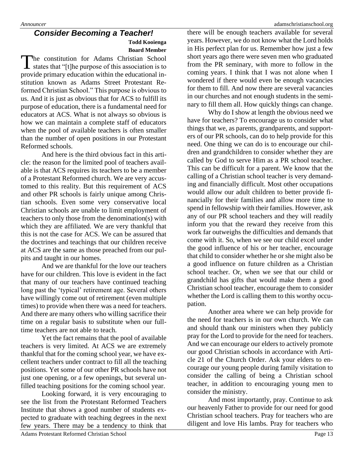#### *Consider Becoming a Teacher!* **Todd Kooienga Board Member**

The constitution for Adams Christian School The constitution for Adams Christian School<br>states that "[t]he purpose of this association is to provide primary education within the educational institution known as Adams Street Protestant Reformed Christian School." This purpose is obvious to us. And it is just as obvious that for ACS to fulfill its purpose of education, there is a fundamental need for educators at ACS. What is not always so obvious is how we can maintain a complete staff of educators when the pool of available teachers is often smaller than the number of open positions in our Protestant Reformed schools.

And here is the third obvious fact in this article: the reason for the limited pool of teachers available is that ACS requires its teachers to be a member of a Protestant Reformed church. We are very accustomed to this reality. But this requirement of ACS and other PR schools is fairly unique among Christian schools. Even some very conservative local Christian schools are unable to limit employment of teachers to only those from the denomination(s) with which they are affiliated. We are very thankful that this is not the case for ACS. We can be assured that the doctrines and teachings that our children receive at ACS are the same as those preached from our pulpits and taught in our homes.

And we are thankful for the love our teachers have for our children. This love is evident in the fact that many of our teachers have continued teaching long past the 'typical' retirement age. Several others have willingly come out of retirement (even multiple times) to provide when there was a need for teachers. And there are many others who willing sacrifice their time on a regular basis to substitute when our fulltime teachers are not able to teach.

Yet the fact remains that the pool of available teachers is very limited. At ACS we are extremely thankful that for the coming school year, we have excellent teachers under contract to fill all the teaching positions. Yet some of our other PR schools have not just one opening, or a few openings, but several unfilled teaching positions for the coming school year.

Looking forward, it is very encouraging to see the list from the Protestant Reformed Teachers Institute that shows a good number of students expected to graduate with teaching degrees in the next few years. There may be a tendency to think that there will be enough teachers available for several years. However, we do not know what the Lord holds in His perfect plan for us. Remember how just a few short years ago there were seven men who graduated from the PR seminary, with more to follow in the coming years. I think that I was not alone when I wondered if there would even be enough vacancies for them to fill. And now there are several vacancies in our churches and not enough students in the seminary to fill them all. How quickly things can change.

Why do I show at length the obvious need we have for teachers? To encourage us to consider what things that we, as parents, grandparents, and supporters of our PR schools, can do to help provide for this need. One thing we can do is to encourage our children and grandchildren to consider whether they are called by God to serve Him as a PR school teacher. This can be difficult for a parent. We know that the calling of a Christian school teacher is very demanding and financially difficult. Most other occupations would allow our adult children to better provide financially for their families and allow more time to spend in fellowship with their families. However, ask any of our PR school teachers and they will readily inform you that the reward they receive from this work far outweighs the difficulties and demands that come with it. So, when we see our child excel under the good influence of his or her teacher, encourage that child to consider whether he or she might also be a good influence on future children as a Christian school teacher. Or, when we see that our child or grandchild has gifts that would make them a good Christian school teacher, encourage them to consider whether the Lord is calling them to this worthy occupation.

Another area where we can help provide for the need for teachers is in our own church. We can and should thank our ministers when they publicly pray for the Lord to provide for the need for teachers. And we can encourage our elders to actively promote our good Christian schools in accordance with Article 21 of the Church Order. Ask your elders to encourage our young people during family visitation to consider the calling of being a Christian school teacher, in addition to encouraging young men to consider the ministry.

And most importantly, pray. Continue to ask our heavenly Father to provide for our need for good Christian school teachers. Pray for teachers who are diligent and love His lambs. Pray for teachers who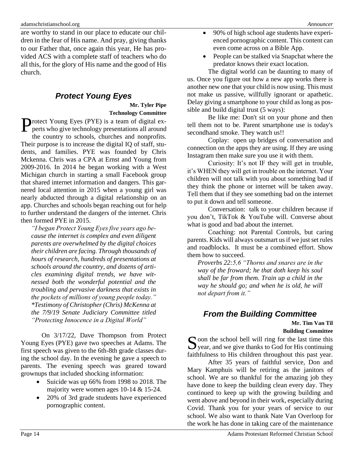are worthy to stand in our place to educate our children in the fear of His name. And pray, giving thanks to our Father that, once again this year, He has provided ACS with a complete staff of teachers who do all this, for the glory of His name and the good of His church.

## *Protect Young Eyes*

**Mr. Tyler Pipe Technology Committee**

**T**rotect Young Eyes (PYE) is a team of digital ex-**P**rotect Young Eyes (PYE) is a team of digital experts who give technology presentations all around the country to schools, churches and nonprofits. Their purpose is to increase the digital IQ of staff, stu-

dents, and families. PYE was founded by Chris Mckenna. Chris was a CPA at Ernst and Young from 2009-2016. In 2014 he began working with a West Michigan church in starting a small Facebook group that shared internet information and dangers. This garnered local attention in 2015 when a young girl was nearly abducted through a digital relationship on an app. Churches and schools began reaching out for help to further understand the dangers of the internet. Chris then formed PYE in 2015.

*"I began Protect Young Eyes five years ago because the internet is complex and even diligent parents are overwhelmed by the digital choices their children are facing. Through thousands of hours of research, hundreds of presentations at schools around the country, and dozens of articles examining digital trends, we have witnessed both the wonderful potential and the troubling and pervasive darkness that exists in the pockets of millions of young people today." \*Testimony of Christopher (Chris) McKenna at the 7/9/19 Senate Judiciary Committee titled "Protecting Innocence in a Digital World"*

On 3/17/22, Dave Thompson from Protect Young Eyes (PYE) gave two speeches at Adams. The first speech was given to the 6th-8th grade classes during the school day. In the evening he gave a speech to parents. The evening speech was geared toward grownups that included shocking information:

- Suicide was up 66% from 1998 to 2018. The majority were women ages 10-14 & 15-24.
- 20% of 3rd grade students have experienced pornographic content.
- 90% of high school age students have experienced pornographic content. This content can even come across on a Bible App.
- People can be stalked via Snapchat where the predator knows their exact location.

The digital world can be daunting to many of us. Once you figure out how a new app works there is another new one that your child is now using. This must not make us passive, willfully ignorant or apathetic. Delay giving a smartphone to your child as long as possible and build digital trust (5 ways):

Be like me: Don't sit on your phone and then tell them not to be. Parent smartphone use is today's secondhand smoke. They watch us!!

Coplay: open up bridges of conversation and connection on the apps they are using. If they are using Instagram then make sure you use it with them.

Curiosity: It's not IF they will get in trouble, it's WHEN they will get in trouble on the internet. Your children will not talk with you about something bad if they think the phone or internet will be taken away. Tell them that if they see something bad on the internet to put it down and tell someone.

Conversation: talk to your children because if you don't, TikTok & YouTube will. Converse about what is good and bad about the internet.

Coaching: not Parental Controls, but caring parents. Kids will always outsmart us if we just set rules and roadblocks. It must be a combined effort. Show them how to succeed.

*Proverbs 22:5,6 "Thorns and snares are in the way of the froward; he that doth keep his soul shall be far from them. Train up a child in the way he should go; and when he is old, he will not depart from it."*

## *From the Building Committee*

**Mr. Tim Van Til Building Committee**

 $\Gamma$  oon the school bell will ring for the last time this Soon the school bell will ring for the last time this year, and we give thanks to God for His continuing faithfulness to His children throughout this past year.

After 35 years of faithful service, Don and Mary Kamphuis will be retiring as the janitors of school. We are so thankful for the amazing job they have done to keep the building clean every day. They continued to keep up with the growing building and went above and beyond in their work, especially during Covid. Thank you for your years of service to our school. We also want to thank Nate Van Overloop for the work he has done in taking care of the maintenance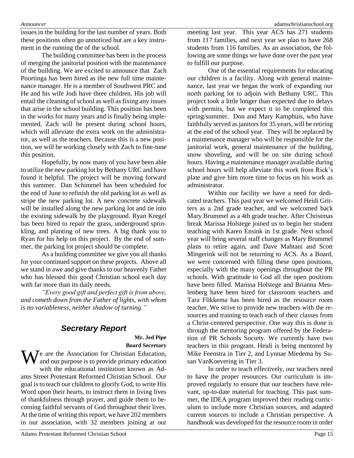issues in the building for the last number of years. Both these positions often go unnoticed but are a key instrument in the running the of the school.

The building committee has been in the process of merging the janitorial position with the maintenance of the building. We are excited to announce that Zach Poortinga has been hired as the new full time maintenance manager. He is a member of Southwest PRC and He and his wife Jodi have three children. His job will entail the cleaning of school as well as fixing any issues that arise in the school building. This position has been in the works for many years and is finally being implemented. Zach will be present during school hours, which will alleviate the extra work on the administrator, as well as the teachers. Because this is a new position, we will be working closely with Zach to fine-tune this position.

Hopefully, by now many of you have been able to utilize the new parking lot by Bethany URC and have found it helpful. The project will be moving forward this summer. Dan Schimmel has been scheduled for the end of June to refinish the old parking lot as well as stripe the new parking lot. A new concrete sidewalk will be installed along the new parking lot and tie into the existing sidewalk by the playground. Ryan Kregel has been hired to repair the grass, underground sprinkling, and planting of new trees. A big thank you to Ryan for his help on this project. By the end of summer, the parking lot project should be complete.

As a building committee we give you all thanks for your continued support on these projects. Above all we stand in awe and give thanks to our heavenly Father who has blessed this good Christian school each day with far more than its daily needs.

*"Every good gift and perfect gift is from above, and cometh down from the Father of lights, with whom is no variableness, neither shadow of turning."*

## *Secretary Report*

**Mr. Jed Pipe Board Secretary**

We are the Association for Christian Education,<br>and our purpose is to provide primary education and our purpose is to provide primary education with the educational institution known as Adams Street Protestant Reformed Christian School. Our goal is to teach our children to glorify God, to write His Word upon their hearts, to instruct them in living lives of thankfulness through prayer, and guide them to becoming faithful servants of God throughout their lives. At the time of writing this report, we have 202 members in our association, with 32 members joining at our

meeting last year. This year ACS has 271 students from 117 families, and next year we plan to have 268 students from 116 families. As an association, the following are some things we have done over the past year to fulfill our purpose.

One of the essential requirements for educating our children is a facility. Along with general maintenance, last year we began the work of expanding our north parking lot to adjoin with Bethany URC. This project took a little longer than expected due to delays with permits, but we expect it to be completed this spring/summer. Don and Mary Kamphuis, who have faithfully served as janitors for 35 years, will be retiring at the end of the school year. They will be replaced by a maintenance manager who will be responsible for the janitorial work, general maintenance of the building, snow shoveling, and will be on site during school hours. Having a maintenance manager available during school hours will help alleviate this work from Rick's plate and give him more time to focus on his work as administrator.

Within our facility we have a need for dedicated teachers. This past year we welcomed Heidi Gritters as a 2nd grade teacher, and we welcomed back Mary Brummel as a 4th grade teacher. After Christmas break Marissa Holstege joined us to begin her student teaching with Karen Ensink in 1st grade. Next school year will bring several staff changes as Mary Brummel plans to retire again, and Dave Mahtani and Scott Mingerink will not be returning to ACS. As a Board, we were concerned with filling these open positions, especially with the many openings throughout the PR schools. With gratitude to God all the open positions have been filled. Marissa Holstege and Brianna Meulenberg have been hired for classroom teachers and Tara Flikkema has been hired as the resource room teacher. We strive to provide new teachers with the resources and training to teach each of their classes from a Christ-centered perspective. One way this is done is through the mentoring program offered by the Federation of PR Schools Society. We currently have two teachers in this program. Heidi is being mentored by Mike Feenstra in Tier 2, and Lynnae Miedema by Susan VanKoevering in Tier 3.

In order to teach effectively, our teachers need to have the proper resources. Our curriculum is improved regularly to ensure that our teachers have relevant, up-to-date material for teaching. This past summer, the IDEA program improved their reading curriculum to include more Christian sources, and adapted current sources to include a Christian perspective. A handbook was developed for the resource room in order